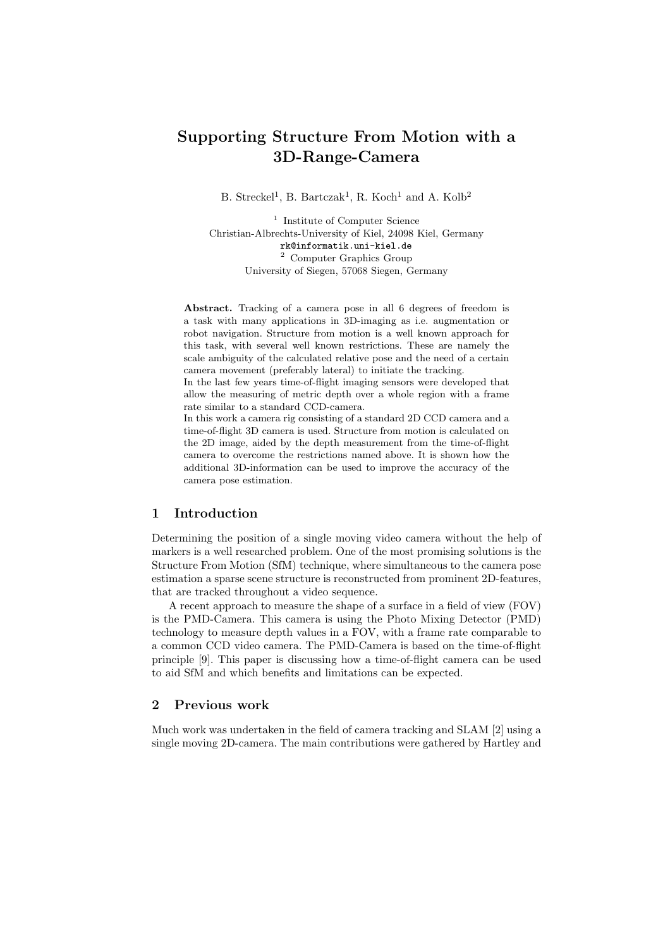# Supporting Structure From Motion with a 3D-Range-Camera

B. Streckel<sup>1</sup>, B. Bartczak<sup>1</sup>, R. Koch<sup>1</sup> and A. Kolb<sup>2</sup>

<sup>1</sup> Institute of Computer Science Christian-Albrechts-University of Kiel, 24098 Kiel, Germany rk@informatik.uni-kiel.de <sup>2</sup> Computer Graphics Group University of Siegen, 57068 Siegen, Germany

Abstract. Tracking of a camera pose in all 6 degrees of freedom is a task with many applications in 3D-imaging as i.e. augmentation or robot navigation. Structure from motion is a well known approach for this task, with several well known restrictions. These are namely the scale ambiguity of the calculated relative pose and the need of a certain camera movement (preferably lateral) to initiate the tracking.

In the last few years time-of-flight imaging sensors were developed that allow the measuring of metric depth over a whole region with a frame rate similar to a standard CCD-camera.

In this work a camera rig consisting of a standard 2D CCD camera and a time-of-flight 3D camera is used. Structure from motion is calculated on the 2D image, aided by the depth measurement from the time-of-flight camera to overcome the restrictions named above. It is shown how the additional 3D-information can be used to improve the accuracy of the camera pose estimation.

## 1 Introduction

Determining the position of a single moving video camera without the help of markers is a well researched problem. One of the most promising solutions is the Structure From Motion (SfM) technique, where simultaneous to the camera pose estimation a sparse scene structure is reconstructed from prominent 2D-features, that are tracked throughout a video sequence.

A recent approach to measure the shape of a surface in a field of view (FOV) is the PMD-Camera. This camera is using the Photo Mixing Detector (PMD) technology to measure depth values in a FOV, with a frame rate comparable to a common CCD video camera. The PMD-Camera is based on the time-of-flight principle [9]. This paper is discussing how a time-of-flight camera can be used to aid SfM and which benefits and limitations can be expected.

## 2 Previous work

Much work was undertaken in the field of camera tracking and SLAM [2] using a single moving 2D-camera. The main contributions were gathered by Hartley and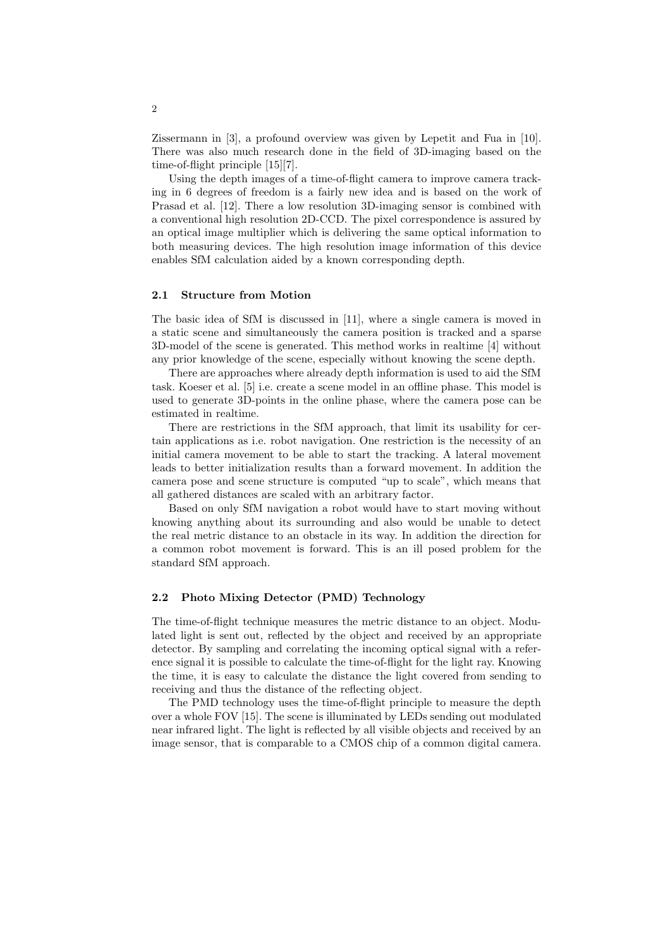Zissermann in [3], a profound overview was given by Lepetit and Fua in [10]. There was also much research done in the field of 3D-imaging based on the time-of-flight principle [15][7].

Using the depth images of a time-of-flight camera to improve camera tracking in 6 degrees of freedom is a fairly new idea and is based on the work of Prasad et al. [12]. There a low resolution 3D-imaging sensor is combined with a conventional high resolution 2D-CCD. The pixel correspondence is assured by an optical image multiplier which is delivering the same optical information to both measuring devices. The high resolution image information of this device enables SfM calculation aided by a known corresponding depth.

#### 2.1 Structure from Motion

The basic idea of SfM is discussed in [11], where a single camera is moved in a static scene and simultaneously the camera position is tracked and a sparse 3D-model of the scene is generated. This method works in realtime [4] without any prior knowledge of the scene, especially without knowing the scene depth.

There are approaches where already depth information is used to aid the SfM task. Koeser et al. [5] i.e. create a scene model in an offline phase. This model is used to generate 3D-points in the online phase, where the camera pose can be estimated in realtime.

There are restrictions in the SfM approach, that limit its usability for certain applications as i.e. robot navigation. One restriction is the necessity of an initial camera movement to be able to start the tracking. A lateral movement leads to better initialization results than a forward movement. In addition the camera pose and scene structure is computed "up to scale", which means that all gathered distances are scaled with an arbitrary factor.

Based on only SfM navigation a robot would have to start moving without knowing anything about its surrounding and also would be unable to detect the real metric distance to an obstacle in its way. In addition the direction for a common robot movement is forward. This is an ill posed problem for the standard SfM approach.

## 2.2 Photo Mixing Detector (PMD) Technology

The time-of-flight technique measures the metric distance to an object. Modulated light is sent out, reflected by the object and received by an appropriate detector. By sampling and correlating the incoming optical signal with a reference signal it is possible to calculate the time-of-flight for the light ray. Knowing the time, it is easy to calculate the distance the light covered from sending to receiving and thus the distance of the reflecting object.

The PMD technology uses the time-of-flight principle to measure the depth over a whole FOV [15]. The scene is illuminated by LEDs sending out modulated near infrared light. The light is reflected by all visible objects and received by an image sensor, that is comparable to a CMOS chip of a common digital camera.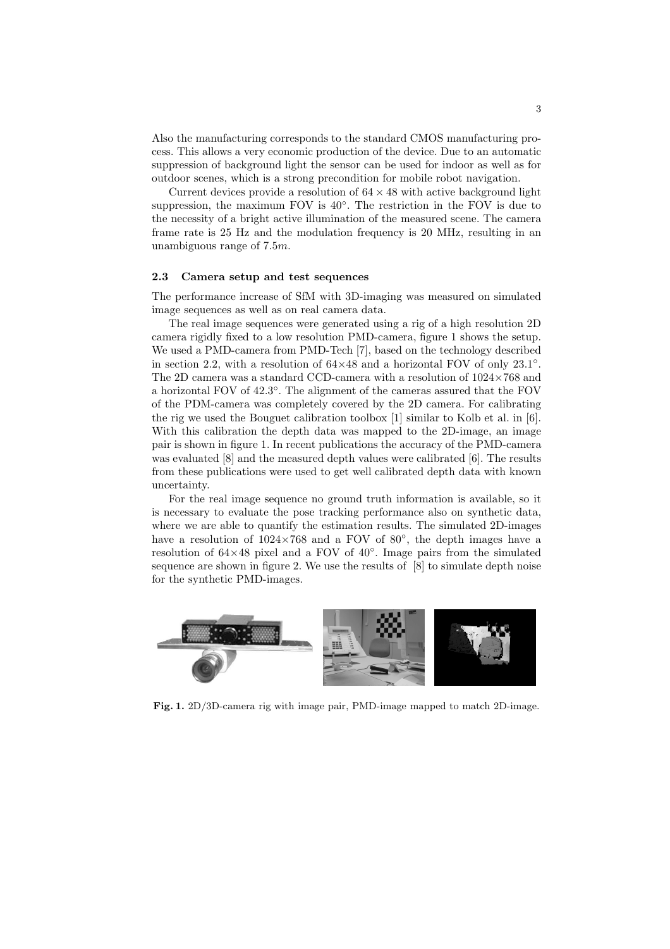Also the manufacturing corresponds to the standard CMOS manufacturing process. This allows a very economic production of the device. Due to an automatic suppression of background light the sensor can be used for indoor as well as for outdoor scenes, which is a strong precondition for mobile robot navigation.

Current devices provide a resolution of  $64 \times 48$  with active background light suppression, the maximum FOV is 40°. The restriction in the FOV is due to the necessity of a bright active illumination of the measured scene. The camera frame rate is 25 Hz and the modulation frequency is 20 MHz, resulting in an unambiguous range of  $7.5m$ .

#### 2.3 Camera setup and test sequences

The performance increase of SfM with 3D-imaging was measured on simulated image sequences as well as on real camera data.

The real image sequences were generated using a rig of a high resolution 2D camera rigidly fixed to a low resolution PMD-camera, figure 1 shows the setup. We used a PMD-camera from PMD-Tech [7], based on the technology described in section 2.2, with a resolution of  $64\times48$  and a horizontal FOV of only 23.1<sup>°</sup>. The 2D camera was a standard CCD-camera with a resolution of 1024×768 and a horizontal FOV of 42.3◦ . The alignment of the cameras assured that the FOV of the PDM-camera was completely covered by the 2D camera. For calibrating the rig we used the Bouguet calibration toolbox  $[1]$  similar to Kolb et al. in  $[6]$ . With this calibration the depth data was mapped to the 2D-image, an image pair is shown in figure 1. In recent publications the accuracy of the PMD-camera was evaluated [8] and the measured depth values were calibrated [6]. The results from these publications were used to get well calibrated depth data with known uncertainty.

For the real image sequence no ground truth information is available, so it is necessary to evaluate the pose tracking performance also on synthetic data, where we are able to quantify the estimation results. The simulated 2D-images have a resolution of  $1024\times768$  and a FOV of 80 $^{\circ}$ , the depth images have a resolution of 64×48 pixel and a FOV of 40◦ . Image pairs from the simulated sequence are shown in figure 2. We use the results of [8] to simulate depth noise for the synthetic PMD-images.



Fig. 1. 2D/3D-camera rig with image pair, PMD-image mapped to match 2D-image.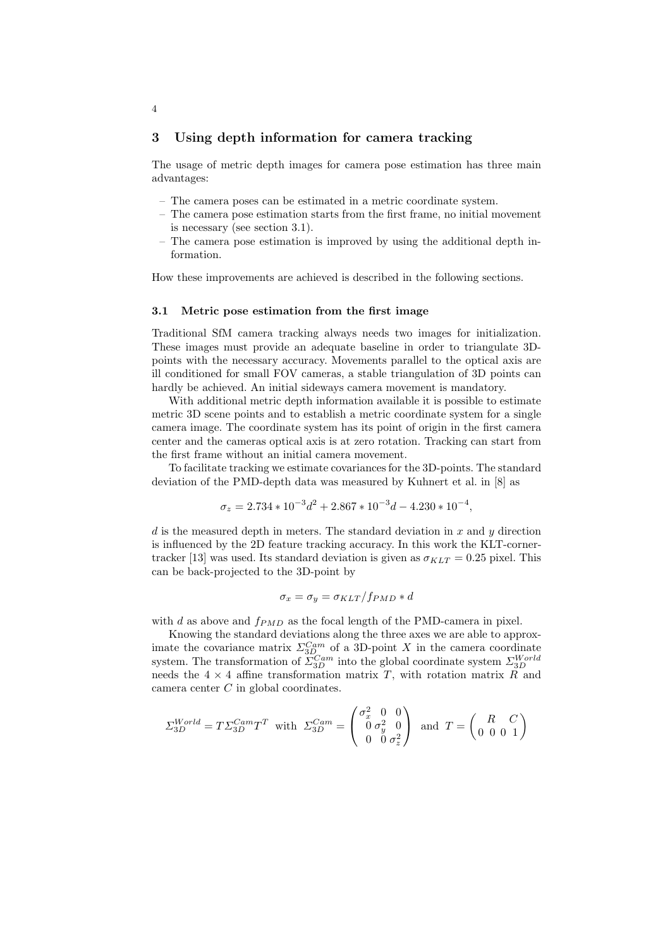## 3 Using depth information for camera tracking

The usage of metric depth images for camera pose estimation has three main advantages:

- The camera poses can be estimated in a metric coordinate system.
- The camera pose estimation starts from the first frame, no initial movement is necessary (see section 3.1).
- The camera pose estimation is improved by using the additional depth information.

How these improvements are achieved is described in the following sections.

#### 3.1 Metric pose estimation from the first image

Traditional SfM camera tracking always needs two images for initialization. These images must provide an adequate baseline in order to triangulate 3Dpoints with the necessary accuracy. Movements parallel to the optical axis are ill conditioned for small FOV cameras, a stable triangulation of 3D points can hardly be achieved. An initial sideways camera movement is mandatory.

With additional metric depth information available it is possible to estimate metric 3D scene points and to establish a metric coordinate system for a single camera image. The coordinate system has its point of origin in the first camera center and the cameras optical axis is at zero rotation. Tracking can start from the first frame without an initial camera movement.

To facilitate tracking we estimate covariances for the 3D-points. The standard deviation of the PMD-depth data was measured by Kuhnert et al. in [8] as

$$
\sigma_z = 2.734 * 10^{-3}d^2 + 2.867 * 10^{-3}d - 4.230 * 10^{-4},
$$

d is the measured depth in meters. The standard deviation in x and y direction is influenced by the 2D feature tracking accuracy. In this work the KLT-cornertracker [13] was used. Its standard deviation is given as  $\sigma_{KLT} = 0.25$  pixel. This can be back-projected to the 3D-point by

$$
\sigma_x = \sigma_y = \sigma_{KLT} / f_{PMD} * d
$$

with d as above and  $f_{PMD}$  as the focal length of the PMD-camera in pixel.

Knowing the standard deviations along the three axes we are able to approximate the covariance matrix  $\Sigma_{3D}^{Cam}$  of a 3D-point X in the camera coordinate system. The transformation of  $\Sigma_{3D}^{Cam}$  into the global coordinate system  $\Sigma_{3D}^{World}$ needs the  $4 \times 4$  affine transformation matrix T, with rotation matrix  $R$  and camera center  $C$  in global coordinates.

$$
\Sigma_{3D}^{World} = T \Sigma_{3D}^{Cam} T^T \text{ with } \Sigma_{3D}^{Cam} = \begin{pmatrix} \sigma_x^2 & 0 & 0 \\ 0 & \sigma_y^2 & 0 \\ 0 & 0 & \sigma_z^2 \end{pmatrix} \text{ and } T = \begin{pmatrix} R & C \\ 0 & 0 & 0 \\ 0 & 0 & 1 \end{pmatrix}
$$

4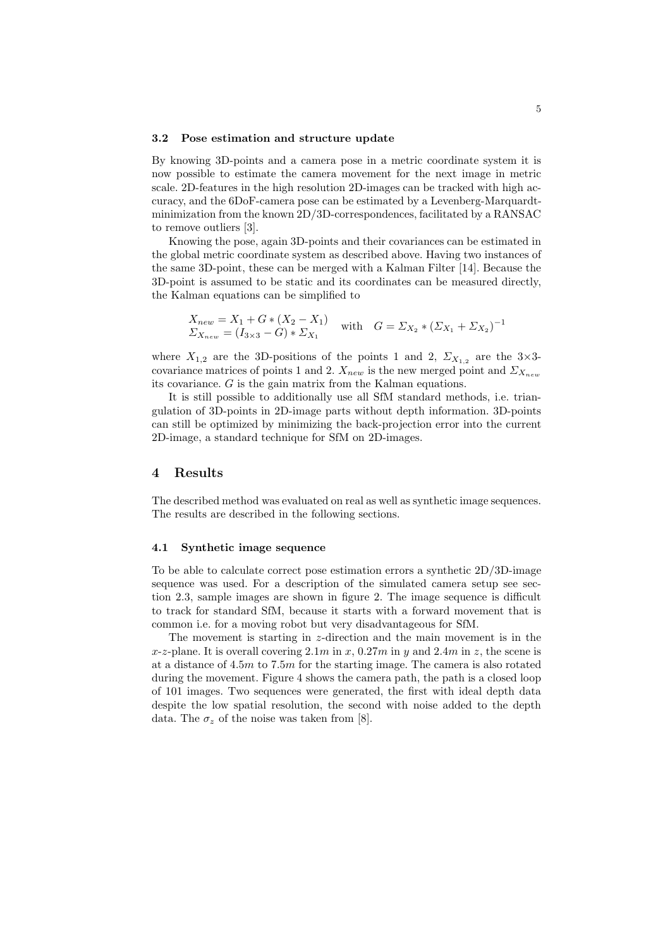#### 3.2 Pose estimation and structure update

By knowing 3D-points and a camera pose in a metric coordinate system it is now possible to estimate the camera movement for the next image in metric scale. 2D-features in the high resolution 2D-images can be tracked with high accuracy, and the 6DoF-camera pose can be estimated by a Levenberg-Marquardtminimization from the known 2D/3D-correspondences, facilitated by a RANSAC to remove outliers [3].

Knowing the pose, again 3D-points and their covariances can be estimated in the global metric coordinate system as described above. Having two instances of the same 3D-point, these can be merged with a Kalman Filter [14]. Because the 3D-point is assumed to be static and its coordinates can be measured directly, the Kalman equations can be simplified to

$$
\begin{aligned} X_{new} &= X_1 + G * (X_2 - X_1) \\ \Sigma_{X_{new}} &= (I_{3 \times 3} - G) * \Sigma_{X_1} \end{aligned} \quad \text{with} \quad G = \Sigma_{X_2} * (\Sigma_{X_1} + \Sigma_{X_2})^{-1}
$$

where  $X_{1,2}$  are the 3D-positions of the points 1 and 2,  $\Sigma_{X_{1,2}}$  are the 3×3covariance matrices of points 1 and 2.  $X_{new}$  is the new merged point and  $\Sigma_{X_{new}}$ its covariance. G is the gain matrix from the Kalman equations.

It is still possible to additionally use all SfM standard methods, i.e. triangulation of 3D-points in 2D-image parts without depth information. 3D-points can still be optimized by minimizing the back-projection error into the current 2D-image, a standard technique for SfM on 2D-images.

### 4 Results

The described method was evaluated on real as well as synthetic image sequences. The results are described in the following sections.

#### 4.1 Synthetic image sequence

To be able to calculate correct pose estimation errors a synthetic  $2D/3D$ -image sequence was used. For a description of the simulated camera setup see section 2.3, sample images are shown in figure 2. The image sequence is difficult to track for standard SfM, because it starts with a forward movement that is common i.e. for a moving robot but very disadvantageous for SfM.

The movement is starting in z-direction and the main movement is in the x-z-plane. It is overall covering  $2.1m$  in x,  $0.27m$  in y and  $2.4m$  in z, the scene is at a distance of  $4.5m$  to 7.5m for the starting image. The camera is also rotated during the movement. Figure 4 shows the camera path, the path is a closed loop of 101 images. Two sequences were generated, the first with ideal depth data despite the low spatial resolution, the second with noise added to the depth data. The  $\sigma_z$  of the noise was taken from [8].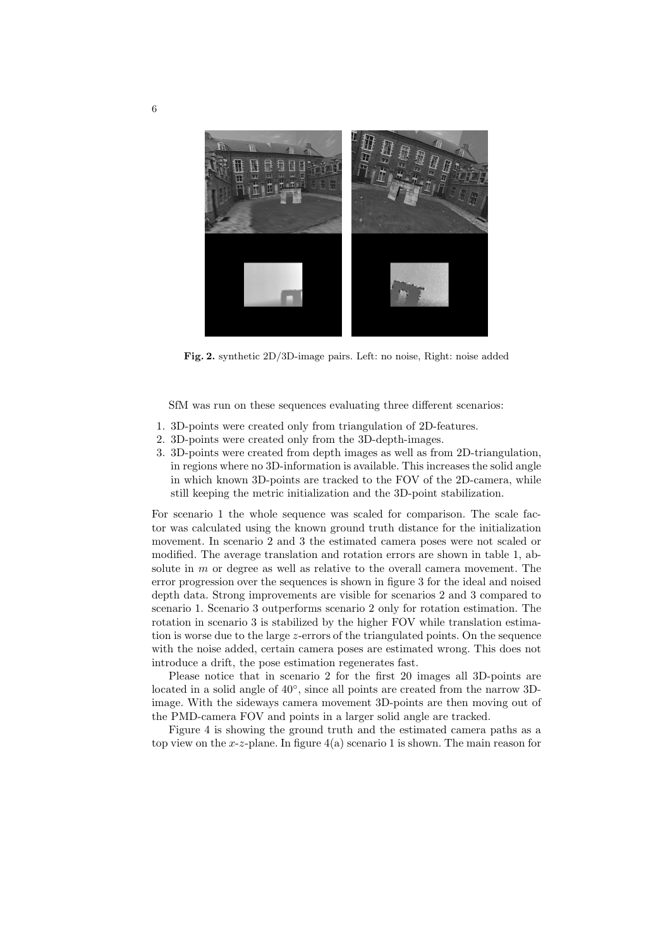

Fig. 2. synthetic 2D/3D-image pairs. Left: no noise, Right: noise added

SfM was run on these sequences evaluating three different scenarios:

- 1. 3D-points were created only from triangulation of 2D-features.
- 2. 3D-points were created only from the 3D-depth-images.
- 3. 3D-points were created from depth images as well as from 2D-triangulation, in regions where no 3D-information is available. This increases the solid angle in which known 3D-points are tracked to the FOV of the 2D-camera, while still keeping the metric initialization and the 3D-point stabilization.

For scenario 1 the whole sequence was scaled for comparison. The scale factor was calculated using the known ground truth distance for the initialization movement. In scenario 2 and 3 the estimated camera poses were not scaled or modified. The average translation and rotation errors are shown in table 1, absolute in  $m$  or degree as well as relative to the overall camera movement. The error progression over the sequences is shown in figure 3 for the ideal and noised depth data. Strong improvements are visible for scenarios 2 and 3 compared to scenario 1. Scenario 3 outperforms scenario 2 only for rotation estimation. The rotation in scenario 3 is stabilized by the higher FOV while translation estimation is worse due to the large z-errors of the triangulated points. On the sequence with the noise added, certain camera poses are estimated wrong. This does not introduce a drift, the pose estimation regenerates fast.

Please notice that in scenario 2 for the first 20 images all 3D-points are located in a solid angle of  $40^{\circ}$ , since all points are created from the narrow 3Dimage. With the sideways camera movement 3D-points are then moving out of the PMD-camera FOV and points in a larger solid angle are tracked.

Figure 4 is showing the ground truth and the estimated camera paths as a top view on the x-z-plane. In figure  $4(a)$  scenario 1 is shown. The main reason for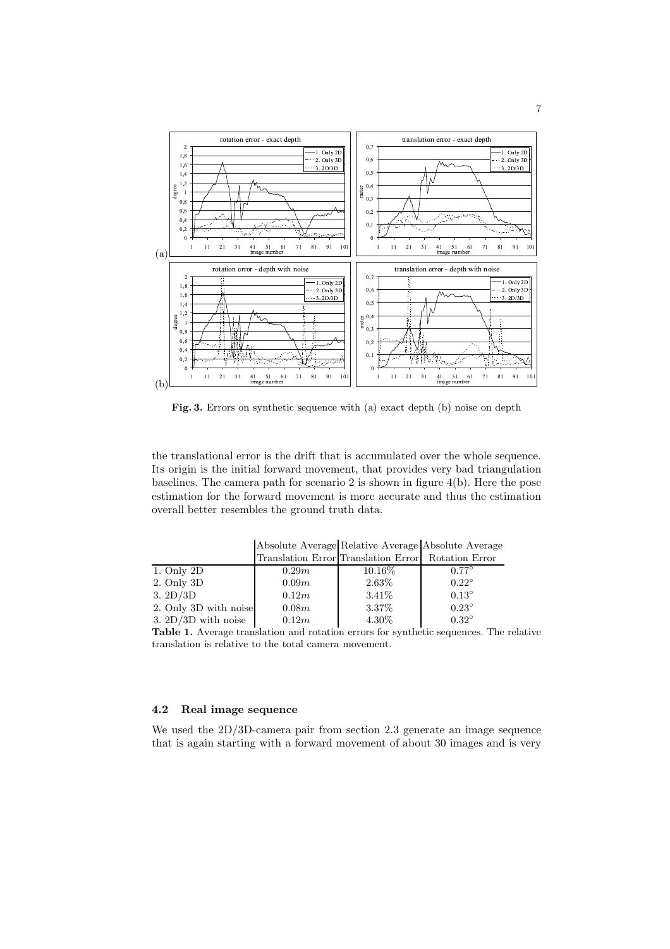

Fig. 3. Errors on synthetic sequence with (a) exact depth (b) noise on depth

the translational error is the drift that is accumulated over the whole sequence. Its origin is the initial forward movement, that provides very bad triangulation baselines. The camera path for scenario 2 is shown in figure 4(b). Here the pose estimation for the forward movement is more accurate and thus the estimation overall better resembles the ground truth data.

|                       |       | Translation Error Translation Error Rotation Error |              |
|-----------------------|-------|----------------------------------------------------|--------------|
| 1. Only 2D            | 0.29m | 10.16\%                                            | $0.77^\circ$ |
| 2. Only 3D            | 0.09m | 2.63%                                              | $0.22^\circ$ |
| 3.2D/3D               | 0.12m | $3.41\%$                                           | $0.13^\circ$ |
| 2. Only 3D with noise | 0.08m | 3.37%                                              | $0.23^\circ$ |
| 3. $2D/3D$ with noise | 0.12m | 4.30%                                              | $0.32^\circ$ |

Absolute Average Relative Average Absolute Average

Table 1. Average translation and rotation errors for synthetic sequences. The relative translation is relative to the total camera movement.

## 4.2 Real image sequence

We used the 2D/3D-camera pair from section 2.3 generate an image sequence that is again starting with a forward movement of about 30 images and is very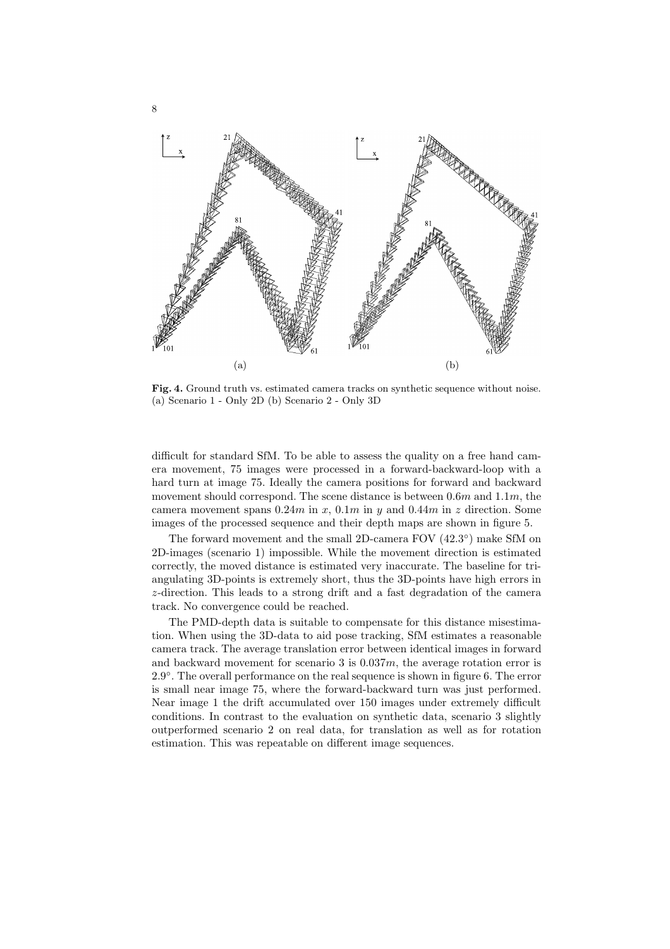

Fig. 4. Ground truth vs. estimated camera tracks on synthetic sequence without noise. (a) Scenario 1 - Only 2D (b) Scenario 2 - Only 3D

difficult for standard SfM. To be able to assess the quality on a free hand camera movement, 75 images were processed in a forward-backward-loop with a hard turn at image 75. Ideally the camera positions for forward and backward movement should correspond. The scene distance is between  $0.6m$  and  $1.1m$ , the camera movement spans  $0.24m$  in x,  $0.1m$  in y and  $0.44m$  in z direction. Some images of the processed sequence and their depth maps are shown in figure 5.

The forward movement and the small 2D-camera FOV  $(42.3^{\circ})$  make SfM on 2D-images (scenario 1) impossible. While the movement direction is estimated correctly, the moved distance is estimated very inaccurate. The baseline for triangulating 3D-points is extremely short, thus the 3D-points have high errors in z-direction. This leads to a strong drift and a fast degradation of the camera track. No convergence could be reached.

The PMD-depth data is suitable to compensate for this distance misestimation. When using the 3D-data to aid pose tracking, SfM estimates a reasonable camera track. The average translation error between identical images in forward and backward movement for scenario 3 is  $0.037m$ , the average rotation error is 2.9 ◦ . The overall performance on the real sequence is shown in figure 6. The error is small near image 75, where the forward-backward turn was just performed. Near image 1 the drift accumulated over 150 images under extremely difficult conditions. In contrast to the evaluation on synthetic data, scenario 3 slightly outperformed scenario 2 on real data, for translation as well as for rotation estimation. This was repeatable on different image sequences.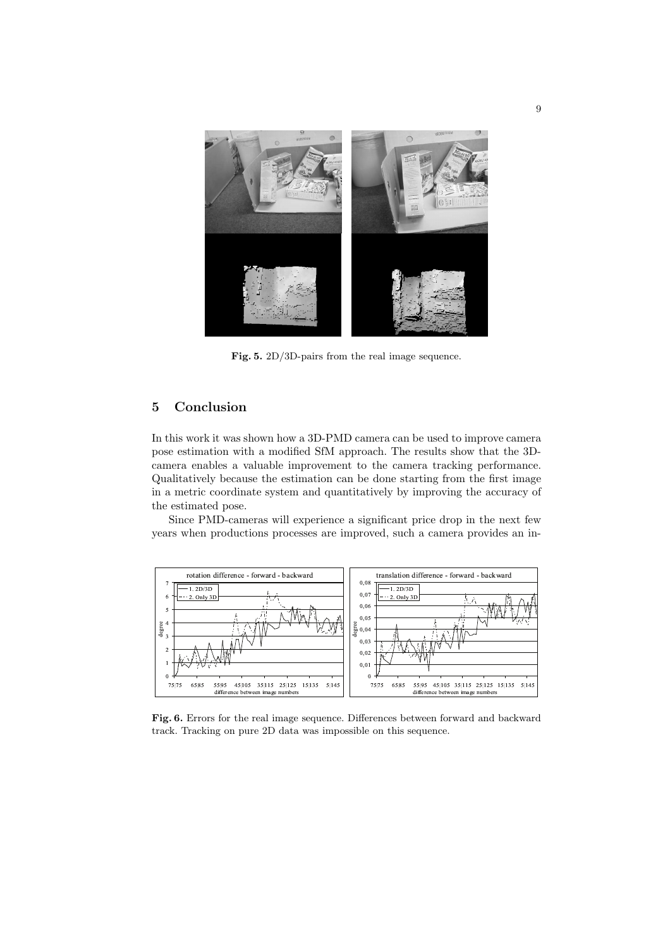

Fig. 5. 2D/3D-pairs from the real image sequence.

## 5 Conclusion

In this work it was shown how a 3D-PMD camera can be used to improve camera pose estimation with a modified SfM approach. The results show that the 3Dcamera enables a valuable improvement to the camera tracking performance. Qualitatively because the estimation can be done starting from the first image in a metric coordinate system and quantitatively by improving the accuracy of the estimated pose.

Since PMD-cameras will experience a significant price drop in the next few years when productions processes are improved, such a camera provides an in-



Fig. 6. Errors for the real image sequence. Differences between forward and backward track. Tracking on pure 2D data was impossible on this sequence.